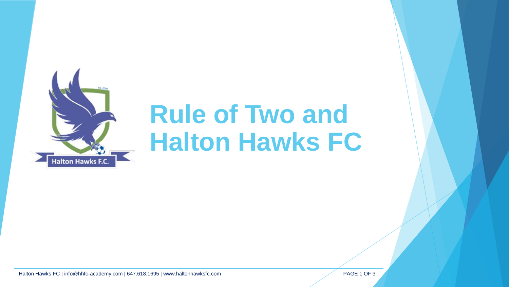

## **Rule of Two and Halton Hawks FC**

Halton Hawks FC | info@hhfc-academy.com | 647.618.1695 | www.haltonhawksfc.com PAGE 1 OF 3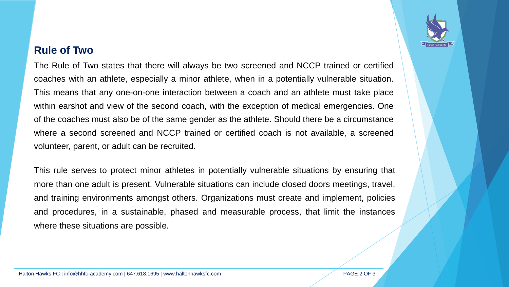## **Rule of Two**

The Rule of Two states that there will always be two screened and NCCP trained or certified coaches with an athlete, especially a minor athlete, when in a potentially vulnerable situation. This means that any one-on-one interaction between a coach and an athlete must take place within earshot and view of the second coach, with the exception of medical emergencies. One of the coaches must also be of the same gender as the athlete. Should there be a circumstance where a second screened and NCCP trained or certified coach is not available, a screened volunteer, parent, or adult can be recruited.

This rule serves to protect minor athletes in potentially vulnerable situations by ensuring that more than one adult is present. Vulnerable situations can include closed doors meetings, travel, and training environments amongst others. Organizations must create and implement, policies and procedures, in a sustainable, phased and measurable process, that limit the instances where these situations are possible.